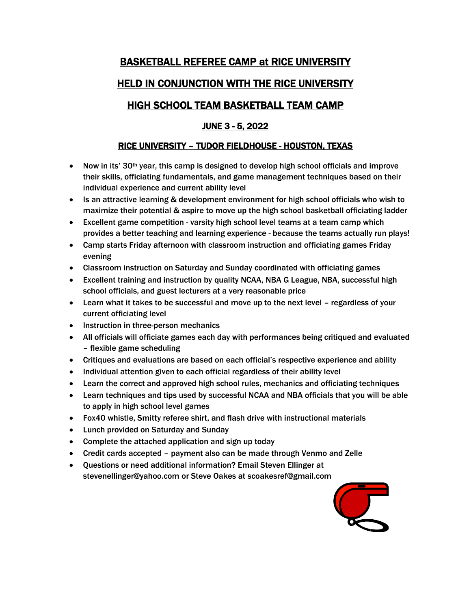# BASKETBALL REFEREE CAMP at RICE UNIVERSITY HELD IN CONJUNCTION WITH THE RICE UNIVERSITY

### HIGH SCHOOL TEAM BASKETBALL TEAM CAMP

### JUNE 3 - 5, 2022

### RICE UNIVERSITY – TUDOR FIELDHOUSE - HOUSTON, TEXAS

- Now in its' 30<sup>th</sup> year, this camp is designed to develop high school officials and improve their skills, officiating fundamentals, and game management techniques based on their individual experience and current ability level
- Is an attractive learning & development environment for high school officials who wish to maximize their potential & aspire to move up the high school basketball officiating ladder
- Excellent game competition varsity high school level teams at a team camp which provides a better teaching and learning experience - because the teams actually run plays!
- Camp starts Friday afternoon with classroom instruction and officiating games Friday evening
- Classroom instruction on Saturday and Sunday coordinated with officiating games
- Excellent training and instruction by quality NCAA, NBA G League, NBA, successful high school officials, and guest lecturers at a very reasonable price
- Learn what it takes to be successful and move up to the next level regardless of your current officiating level
- Instruction in three-person mechanics
- All officials will officiate games each day with performances being critiqued and evaluated – flexible game scheduling
- Critiques and evaluations are based on each official's respective experience and ability
- Individual attention given to each official regardless of their ability level
- Learn the correct and approved high school rules, mechanics and officiating techniques
- Learn techniques and tips used by successful NCAA and NBA officials that you will be able to apply in high school level games
- Fox40 whistle, Smitty referee shirt, and flash drive with instructional materials
- Lunch provided on Saturday and Sunday
- Complete the attached application and sign up today
- Credit cards accepted payment also can be made through Venmo and Zelle
- Questions or need additional information? Email Steven Ellinger at [stevenellinger@yahoo.com](mailto:stevenellinger@yahoo.com) or Steve Oakes at [scoakesref@gmail.com](mailto:scoakesref@gmail.com)